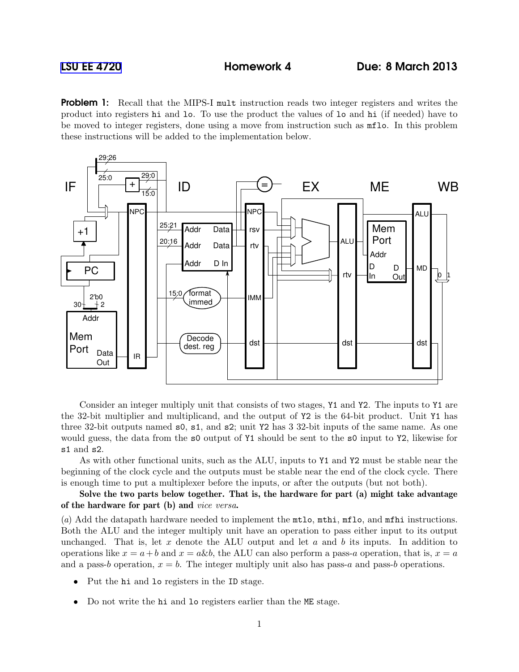**Problem 1:** Recall that the MIPS-I mult instruction reads two integer registers and writes the product into registers hi and lo. To use the product the values of lo and hi (if needed) have to be moved to integer registers, done using a move from instruction such as mflo. In this problem these instructions will be added to the implementation below.



Consider an integer multiply unit that consists of two stages, Y1 and Y2. The inputs to Y1 are the 32-bit multiplier and multiplicand, and the output of Y2 is the 64-bit product. Unit Y1 has three 32-bit outputs named s0, s1, and s2; unit Y2 has 3 32-bit inputs of the same name. As one would guess, the data from the s0 output of Y1 should be sent to the s0 input to Y2, likewise for s1 and s2.

As with other functional units, such as the ALU, inputs to Y1 and Y2 must be stable near the beginning of the clock cycle and the outputs must be stable near the end of the clock cycle. There is enough time to put a multiplexer before the inputs, or after the outputs (but not both).

Solve the two parts below together. That is, the hardware for part (a) might take advantage of the hardware for part (b) and vice versa.

(a) Add the datapath hardware needed to implement the mtlo, mthi, mflo, and mfhi instructions. Both the ALU and the integer multiply unit have an operation to pass either input to its output unchanged. That is, let x denote the ALU output and let  $a$  and  $b$  its inputs. In addition to operations like  $x = a + b$  and  $x = a \& b$ , the ALU can also perform a pass-a operation, that is,  $x = a$ and a pass-b operation,  $x = b$ . The integer multiply unit also has pass-a and pass-b operations.

- Put the hi and lo registers in the ID stage.
- Do not write the hi and lo registers earlier than the ME stage.